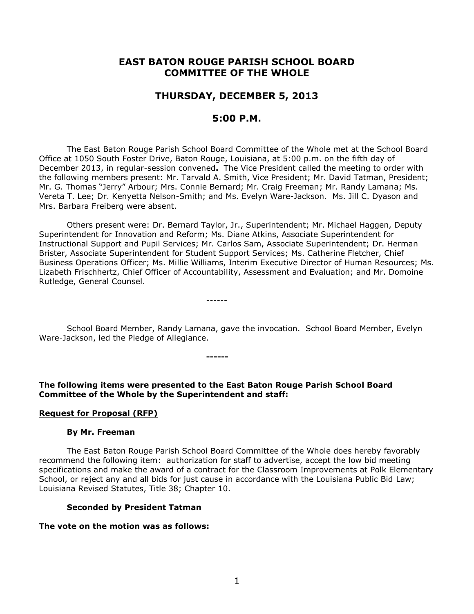# **EAST BATON ROUGE PARISH SCHOOL BOARD COMMITTEE OF THE WHOLE**

# **THURSDAY, DECEMBER 5, 2013**

# **5:00 P.M.**

The East Baton Rouge Parish School Board Committee of the Whole met at the School Board Office at 1050 South Foster Drive, Baton Rouge, Louisiana, at 5:00 p.m. on the fifth day of December 2013, in regular-session convened**.** The Vice President called the meeting to order with the following members present: Mr. Tarvald A. Smith, Vice President; Mr. David Tatman, President; Mr. G. Thomas "Jerry" Arbour; Mrs. Connie Bernard; Mr. Craig Freeman; Mr. Randy Lamana; Ms. Vereta T. Lee; Dr. Kenyetta Nelson-Smith; and Ms. Evelyn Ware-Jackson. Ms. Jill C. Dyason and Mrs. Barbara Freiberg were absent.

Others present were: Dr. Bernard Taylor, Jr., Superintendent; Mr. Michael Haggen, Deputy Superintendent for Innovation and Reform; Ms. Diane Atkins, Associate Superintendent for Instructional Support and Pupil Services; Mr. Carlos Sam, Associate Superintendent; Dr. Herman Brister, Associate Superintendent for Student Support Services; Ms. Catherine Fletcher, Chief Business Operations Officer; Ms. Millie Williams, Interim Executive Director of Human Resources; Ms. Lizabeth Frischhertz, Chief Officer of Accountability, Assessment and Evaluation; and Mr. Domoine Rutledge, General Counsel.

School Board Member, Randy Lamana, gave the invocation. School Board Member, Evelyn Ware-Jackson, led the Pledge of Allegiance.

**The following items were presented to the East Baton Rouge Parish School Board Committee of the Whole by the Superintendent and staff:**

**------**

------

#### **Request for Proposal (RFP)**

#### **By Mr. Freeman**

The East Baton Rouge Parish School Board Committee of the Whole does hereby favorably recommend the following item: authorization for staff to advertise, accept the low bid meeting specifications and make the award of a contract for the Classroom Improvements at Polk Elementary School, or reject any and all bids for just cause in accordance with the Louisiana Public Bid Law; Louisiana Revised Statutes, Title 38; Chapter 10.

#### **Seconded by President Tatman**

#### **The vote on the motion was as follows:**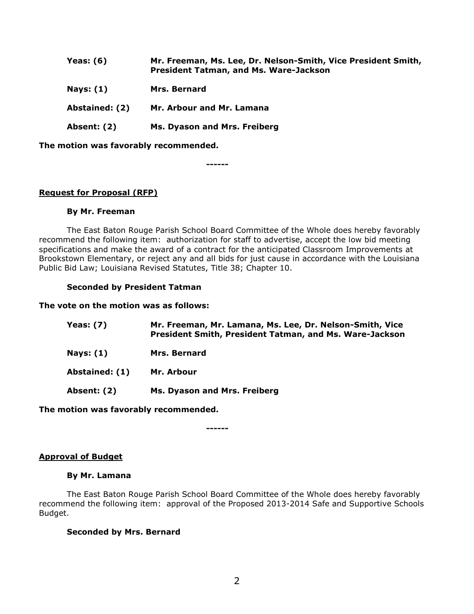| Yeas: $(6)$    | Mr. Freeman, Ms. Lee, Dr. Nelson-Smith, Vice President Smith,<br><b>President Tatman, and Ms. Ware-Jackson</b> |
|----------------|----------------------------------------------------------------------------------------------------------------|
| Nays: $(1)$    | Mrs. Bernard                                                                                                   |
| Abstained: (2) | Mr. Arbour and Mr. Lamana                                                                                      |
| Absent: (2)    | Ms. Dyason and Mrs. Freiberg                                                                                   |

**The motion was favorably recommended.**

**------**

# **Request for Proposal (RFP)**

## **By Mr. Freeman**

The East Baton Rouge Parish School Board Committee of the Whole does hereby favorably recommend the following item: authorization for staff to advertise, accept the low bid meeting specifications and make the award of a contract for the anticipated Classroom Improvements at Brookstown Elementary, or reject any and all bids for just cause in accordance with the Louisiana Public Bid Law; Louisiana Revised Statutes, Title 38; Chapter 10.

## **Seconded by President Tatman**

### **The vote on the motion was as follows:**

| Yeas: (7)        | Mr. Freeman, Mr. Lamana, Ms. Lee, Dr. Nelson-Smith, Vice<br>President Smith, President Tatman, and Ms. Ware-Jackson |
|------------------|---------------------------------------------------------------------------------------------------------------------|
| <b>Nays: (1)</b> | <b>Mrs. Bernard</b>                                                                                                 |
| Abstained: (1)   | Mr. Arbour                                                                                                          |
| Absent: (2)      | Ms. Dyason and Mrs. Freiberg                                                                                        |
|                  |                                                                                                                     |

**The motion was favorably recommended.**

**------**

## **Approval of Budget**

## **By Mr. Lamana**

The East Baton Rouge Parish School Board Committee of the Whole does hereby favorably recommend the following item: approval of the Proposed 2013-2014 Safe and Supportive Schools Budget.

## **Seconded by Mrs. Bernard**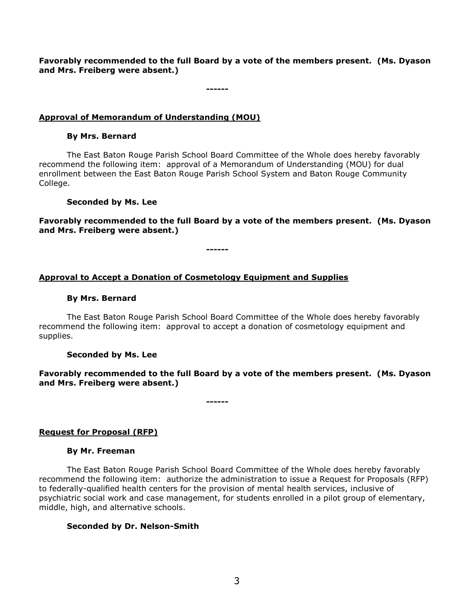**Favorably recommended to the full Board by a vote of the members present. (Ms. Dyason and Mrs. Freiberg were absent.)**

**------**

# **Approval of Memorandum of Understanding (MOU)**

## **By Mrs. Bernard**

The East Baton Rouge Parish School Board Committee of the Whole does hereby favorably recommend the following item: approval of a Memorandum of Understanding (MOU) for dual enrollment between the East Baton Rouge Parish School System and Baton Rouge Community College.

## **Seconded by Ms. Lee**

**Favorably recommended to the full Board by a vote of the members present. (Ms. Dyason and Mrs. Freiberg were absent.)**

**------**

# **Approval to Accept a Donation of Cosmetology Equipment and Supplies**

## **By Mrs. Bernard**

The East Baton Rouge Parish School Board Committee of the Whole does hereby favorably recommend the following item:approval to accept a donation of cosmetology equipment and supplies.

## **Seconded by Ms. Lee**

**Favorably recommended to the full Board by a vote of the members present. (Ms. Dyason and Mrs. Freiberg were absent.)**

**------**

## **Request for Proposal (RFP)**

#### **By Mr. Freeman**

The East Baton Rouge Parish School Board Committee of the Whole does hereby favorably recommend the following item: authorize the administration to issue a Request for Proposals (RFP) to federally-qualified health centers for the provision of mental health services, inclusive of psychiatric social work and case management, for students enrolled in a pilot group of elementary, middle, high, and alternative schools.

#### **Seconded by Dr. Nelson-Smith**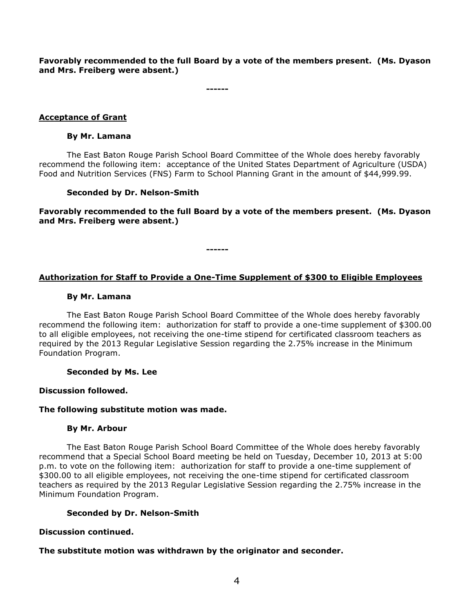**Favorably recommended to the full Board by a vote of the members present. (Ms. Dyason and Mrs. Freiberg were absent.)**

**------**

# **Acceptance of Grant**

## **By Mr. Lamana**

The East Baton Rouge Parish School Board Committee of the Whole does hereby favorably recommend the following item: acceptance of the United States Department of Agriculture (USDA) Food and Nutrition Services (FNS) Farm to School Planning Grant in the amount of \$44,999.99.

## **Seconded by Dr. Nelson-Smith**

**Favorably recommended to the full Board by a vote of the members present. (Ms. Dyason and Mrs. Freiberg were absent.)**

**------**

# **Authorization for Staff to Provide a One-Time Supplement of \$300 to Eligible Employees**

## **By Mr. Lamana**

The East Baton Rouge Parish School Board Committee of the Whole does hereby favorably recommend the following item: authorization for staff to provide a one-time supplement of \$300.00 to all eligible employees, not receiving the one-time stipend for certificated classroom teachers as required by the 2013 Regular Legislative Session regarding the 2.75% increase in the Minimum Foundation Program.

**Seconded by Ms. Lee**

## **Discussion followed.**

## **The following substitute motion was made.**

## **By Mr. Arbour**

The East Baton Rouge Parish School Board Committee of the Whole does hereby favorably recommend that a Special School Board meeting be held on Tuesday, December 10, 2013 at 5:00 p.m. to vote on the following item: authorization for staff to provide a one-time supplement of \$300.00 to all eligible employees, not receiving the one-time stipend for certificated classroom teachers as required by the 2013 Regular Legislative Session regarding the 2.75% increase in the Minimum Foundation Program.

## **Seconded by Dr. Nelson-Smith**

## **Discussion continued.**

**The substitute motion was withdrawn by the originator and seconder.**